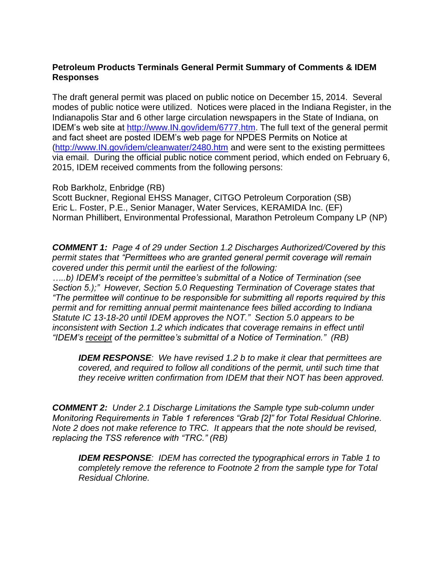## **Petroleum Products Terminals General Permit Summary of Comments & IDEM Responses**

The draft general permit was placed on public notice on December 15, 2014. Several modes of public notice were utilized. Notices were placed in the Indiana Register, in the Indianapolis Star and 6 other large circulation newspapers in the State of Indiana, on IDEM's web site at [http://www.IN.gov/idem/6777.htm.](http://www.in.gov/idem/6777.htm) The full text of the general permit and fact sheet are posted IDEM's web page for NPDES Permits on Notice at [\(http://www.IN.gov/idem/cleanwater/2480.htm](http://www.in.gov/idem/cleanwater/2480.htm) and were sent to the existing permittees via email. During the official public notice comment period, which ended on February 6, 2015, IDEM received comments from the following persons:

### Rob Barkholz, Enbridge (RB)

Scott Buckner, Regional EHSS Manager, CITGO Petroleum Corporation (SB) Eric L. Foster, P.E., Senior Manager, Water Services, KERAMIDA Inc. (EF) Norman Phillibert, Environmental Professional, Marathon Petroleum Company LP (NP)

*COMMENT 1: Page 4 of 29 under Section 1.2 Discharges Authorized/Covered by this permit states that "Permittees who are granted general permit coverage will remain covered under this permit until the earliest of the following:*

*…..b) IDEM's receipt of the permittee's submittal of a Notice of Termination (see Section 5.);" However, Section 5.0 Requesting Termination of Coverage states that "The permittee will continue to be responsible for submitting all reports required by this permit and for remitting annual permit maintenance fees billed according to Indiana Statute IC 13-18-20 until IDEM approves the NOT." Section 5.0 appears to be inconsistent with Section 1.2 which indicates that coverage remains in effect until "IDEM's receipt of the permittee's submittal of a Notice of Termination." (RB)*

*IDEM RESPONSE: We have revised 1.2 b to make it clear that permittees are covered, and required to follow all conditions of the permit, until such time that they receive written confirmation from IDEM that their NOT has been approved.* 

*COMMENT 2: Under 2.1 Discharge Limitations the Sample type sub-column under Monitoring Requirements in Table 1 references "Grab [2]" for Total Residual Chlorine. Note 2 does not make reference to TRC. It appears that the note should be revised, replacing the TSS reference with "TRC." (RB)* 

*IDEM RESPONSE: IDEM has corrected the typographical errors in Table 1 to completely remove the reference to Footnote 2 from the sample type for Total Residual Chlorine.*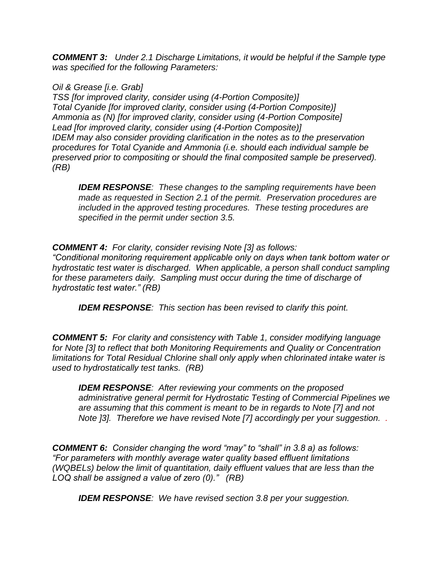*COMMENT 3: Under 2.1 Discharge Limitations, it would be helpful if the Sample type was specified for the following Parameters:*

## *Oil & Grease [i.e. Grab]*

*TSS [for improved clarity, consider using (4-Portion Composite)] Total Cyanide [for improved clarity, consider using (4-Portion Composite)] Ammonia as (N) [for improved clarity, consider using (4-Portion Composite] Lead [for improved clarity, consider using (4-Portion Composite)] IDEM may also consider providing clarification in the notes as to the preservation procedures for Total Cyanide and Ammonia (i.e. should each individual sample be preserved prior to compositing or should the final composited sample be preserved). (RB)*

*IDEM RESPONSE: These changes to the sampling requirements have been made as requested in Section 2.1 of the permit. Preservation procedures are included in the approved testing procedures. These testing procedures are specified in the permit under section 3.5.* 

# *COMMENT 4: For clarity, consider revising Note [3] as follows:*

*"Conditional monitoring requirement applicable only on days when tank bottom water or hydrostatic test water is discharged. When applicable, a person shall conduct sampling for these parameters daily. Sampling must occur during the time of discharge of hydrostatic test water." (RB)*

*IDEM RESPONSE: This section has been revised to clarify this point.* 

*COMMENT 5: For clarity and consistency with Table 1, consider modifying language for Note [3] to reflect that both Monitoring Requirements and Quality or Concentration limitations for Total Residual Chlorine shall only apply when chlorinated intake water is used to hydrostatically test tanks. (RB)*

*IDEM RESPONSE: After reviewing your comments on the proposed administrative general permit for Hydrostatic Testing of Commercial Pipelines we are assuming that this comment is meant to be in regards to Note [7] and not Note ]3]. Therefore we have revised Note [7] accordingly per your suggestion. .* 

*COMMENT 6: Consider changing the word "may" to "shall" in 3.8 a) as follows: "For parameters with monthly average water quality based effluent limitations (WQBELs) below the limit of quantitation, daily effluent values that are less than the LOQ shall be assigned a value of zero (0)." (RB)*

*IDEM RESPONSE: We have revised section 3.8 per your suggestion.*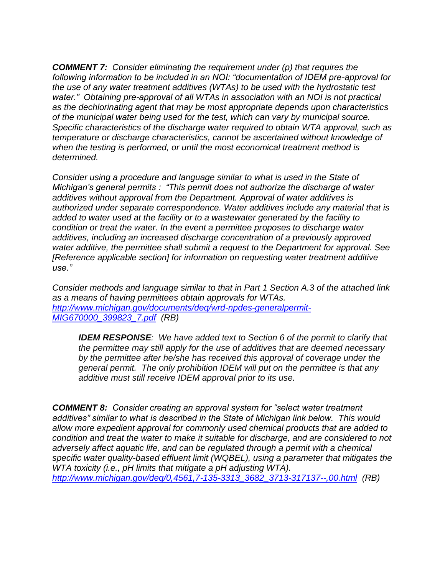*COMMENT 7: Consider eliminating the requirement under (p) that requires the following information to be included in an NOI: "documentation of IDEM pre-approval for the use of any water treatment additives (WTAs) to be used with the hydrostatic test water." Obtaining pre-approval of all WTAs in association with an NOI is not practical as the dechlorinating agent that may be most appropriate depends upon characteristics of the municipal water being used for the test, which can vary by municipal source. Specific characteristics of the discharge water required to obtain WTA approval, such as temperature or discharge characteristics, cannot be ascertained without knowledge of when the testing is performed, or until the most economical treatment method is determined.*

*Consider using a procedure and language similar to what is used in the State of Michigan's general permits : "This permit does not authorize the discharge of water additives without approval from the Department. Approval of water additives is authorized under separate correspondence. Water additives include any material that is added to water used at the facility or to a wastewater generated by the facility to condition or treat the water. In the event a permittee proposes to discharge water additives, including an increased discharge concentration of a previously approved water additive, the permittee shall submit a request to the Department for approval. See [Reference applicable section] for information on requesting water treatment additive use."*

*Consider methods and language similar to that in Part 1 Section A.3 of the attached link as a means of having permittees obtain approvals for WTAs. [http://www.michigan.gov/documents/deq/wrd-npdes-generalpermit-](http://www.michigan.gov/documents/deq/wrd-npdes-generalpermit-MIG670000_399823_7.pdf)[MIG670000\\_399823\\_7.pdf](http://www.michigan.gov/documents/deq/wrd-npdes-generalpermit-MIG670000_399823_7.pdf) (RB)*

*IDEM RESPONSE: We have added text to Section 6 of the permit to clarify that the permittee may still apply for the use of additives that are deemed necessary by the permittee after he/she has received this approval of coverage under the general permit. The only prohibition IDEM will put on the permittee is that any additive must still receive IDEM approval prior to its use.* 

*COMMENT 8: Consider creating an approval system for "select water treatment additives" similar to what is described in the State of Michigan link below. This would allow more expedient approval for commonly used chemical products that are added to condition and treat the water to make it suitable for discharge, and are considered to not adversely affect aquatic life, and can be regulated through a permit with a chemical specific water quality-based effluent limit (WQBEL), using a parameter that mitigates the WTA toxicity (i.e., pH limits that mitigate a pH adjusting WTA). [http://www.michigan.gov/deq/0,4561,7-135-3313\\_3682\\_3713-317137--,00.html](http://www.michigan.gov/deq/0,4561,7-135-3313_3682_3713-317137--,00.html) (RB)*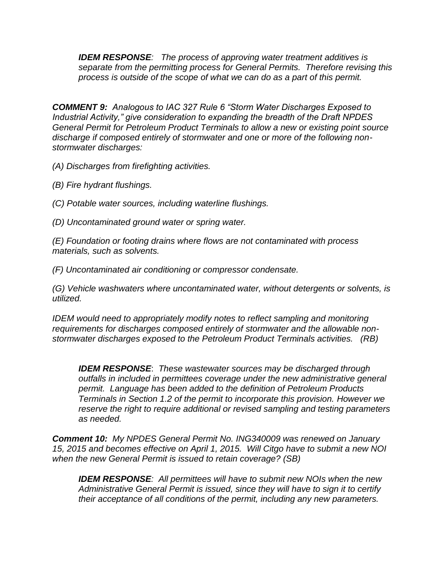*IDEM RESPONSE: The process of approving water treatment additives is separate from the permitting process for General Permits. Therefore revising this process is outside of the scope of what we can do as a part of this permit.* 

*COMMENT 9: Analogous to IAC 327 Rule 6 "Storm Water Discharges Exposed to Industrial Activity," give consideration to expanding the breadth of the Draft NPDES General Permit for Petroleum Product Terminals to allow a new or existing point source discharge if composed entirely of stormwater and one or more of the following nonstormwater discharges:*

*(A) Discharges from firefighting activities.*

- *(B) Fire hydrant flushings.*
- *(C) Potable water sources, including waterline flushings.*
- *(D) Uncontaminated ground water or spring water.*

*(E) Foundation or footing drains where flows are not contaminated with process materials, such as solvents.*

*(F) Uncontaminated air conditioning or compressor condensate.*

*(G) Vehicle washwaters where uncontaminated water, without detergents or solvents, is utilized.*

*IDEM would need to appropriately modify notes to reflect sampling and monitoring requirements for discharges composed entirely of stormwater and the allowable nonstormwater discharges exposed to the Petroleum Product Terminals activities. (RB)*

*IDEM RESPONSE*: *These wastewater sources may be discharged through outfalls in included in permittees coverage under the new administrative general permit. Language has been added to the definition of Petroleum Products Terminals in Section 1.2 of the permit to incorporate this provision. However we reserve the right to require additional or revised sampling and testing parameters as needed.* 

*Comment 10: My NPDES General Permit No. ING340009 was renewed on January 15, 2015 and becomes effective on April 1, 2015. Will Citgo have to submit a new NOI when the new General Permit is issued to retain coverage? (SB)*

*IDEM RESPONSE: All permittees will have to submit new NOIs when the new Administrative General Permit is issued, since they will have to sign it to certify their acceptance of all conditions of the permit, including any new parameters.*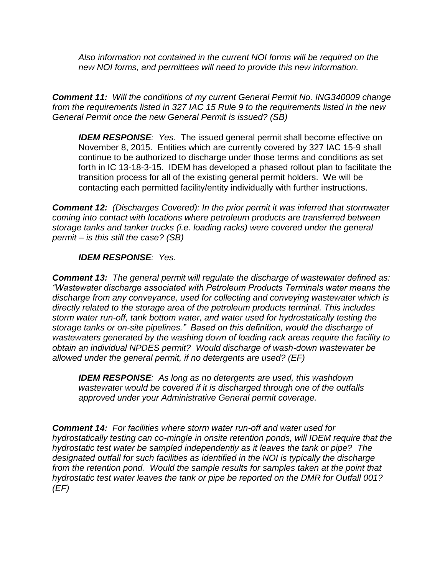*Also information not contained in the current NOI forms will be required on the new NOI forms, and permittees will need to provide this new information.*

*Comment 11: Will the conditions of my current General Permit No. ING340009 change from the requirements listed in 327 IAC 15 Rule 9 to the requirements listed in the new General Permit once the new General Permit is issued? (SB)*

**IDEM RESPONSE**: Yes. The issued general permit shall become effective on November 8, 2015. Entities which are currently covered by 327 IAC 15-9 shall continue to be authorized to discharge under those terms and conditions as set forth in IC 13-18-3-15. IDEM has developed a phased rollout plan to facilitate the transition process for all of the existing general permit holders. We will be contacting each permitted facility/entity individually with further instructions.

*Comment 12: (Discharges Covered): In the prior permit it was inferred that stormwater coming into contact with locations where petroleum products are transferred between storage tanks and tanker trucks (i.e. loading racks) were covered under the general permit – is this still the case? (SB)*

### *IDEM RESPONSE: Yes.*

*Comment 13: The general permit will regulate the discharge of wastewater defined as: "Wastewater discharge associated with Petroleum Products Terminals water means the discharge from any conveyance, used for collecting and conveying wastewater which is directly related to the storage area of the petroleum products terminal. This includes storm water run-off, tank bottom water, and water used for hydrostatically testing the storage tanks or on-site pipelines." Based on this definition, would the discharge of wastewaters generated by the washing down of loading rack areas require the facility to obtain an individual NPDES permit? Would discharge of wash-down wastewater be allowed under the general permit, if no detergents are used? (EF)*

*IDEM RESPONSE: As long as no detergents are used, this washdown wastewater would be covered if it is discharged through one of the outfalls approved under your Administrative General permit coverage.* 

*Comment 14: For facilities where storm water run-off and water used for hydrostatically testing can co-mingle in onsite retention ponds, will IDEM require that the hydrostatic test water be sampled independently as it leaves the tank or pipe? The designated outfall for such facilities as identified in the NOI is typically the discharge from the retention pond. Would the sample results for samples taken at the point that hydrostatic test water leaves the tank or pipe be reported on the DMR for Outfall 001? (EF)*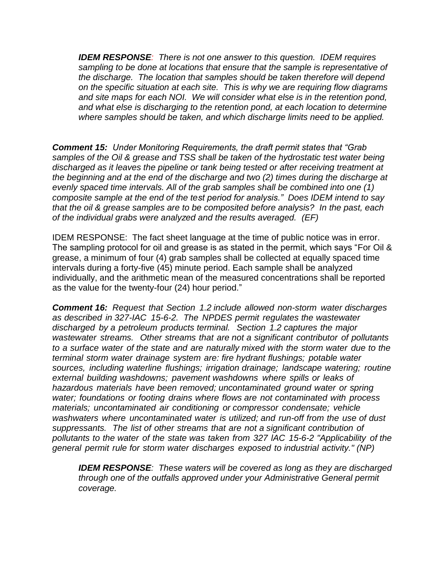*IDEM RESPONSE: There is not one answer to this question. IDEM requires sampling to be done at locations that ensure that the sample is representative of the discharge. The location that samples should be taken therefore will depend on the specific situation at each site. This is why we are requiring flow diagrams and site maps for each NOI. We will consider what else is in the retention pond, and what else is discharging to the retention pond, at each location to determine where samples should be taken, and which discharge limits need to be applied.*

*Comment 15: Under Monitoring Requirements, the draft permit states that "Grab samples of the Oil & grease and TSS shall be taken of the hydrostatic test water being discharged as it leaves the pipeline or tank being tested or after receiving treatment at the beginning and at the end of the discharge and two (2) times during the discharge at evenly spaced time intervals. All of the grab samples shall be combined into one (1) composite sample at the end of the test period for analysis." Does IDEM intend to say that the oil & grease samples are to be composited before analysis? In the past, each of the individual grabs were analyzed and the results averaged. (EF)*

IDEM RESPONSE: The fact sheet language at the time of public notice was in error. The sampling protocol for oil and grease is as stated in the permit, which says "For Oil & grease, a minimum of four (4) grab samples shall be collected at equally spaced time intervals during a forty-five (45) minute period. Each sample shall be analyzed individually, and the arithmetic mean of the measured concentrations shall be reported as the value for the twenty-four (24) hour period."

*Comment 16: Request that Section 1.2 include allowed non-storm water discharges as described in 327-IAC 15-6-2. The NPDES permit regulates the wastewater discharged by a petroleum products terminal. Section 1.2 captures the major wastewater streams. Other streams that are not a significant contributor of pollutants to a surface water of the state and are naturally mixed with the storm water due to the terminal storm water drainage system are: fire hydrant flushings; potable water sources, including waterline flushings; irrigation drainage; landscape watering; routine external building washdowns; pavement washdowns where spills or leaks of hazardous materials have been removed; uncontaminated ground water or spring water; foundations or footing drains where flows are not contaminated with process materials; uncontaminated air conditioning or compressor condensate; vehicle washwaters where uncontaminated water is utilized; and run-off from the use of dust suppressants. The list of other streams that are not a significant contribution of pollutants to the water of the state was taken from 327 lAC 15-6-2 "Applicability of the general permit rule for storm water discharges exposed to industrial activity." (NP)*

*IDEM RESPONSE: These waters will be covered as long as they are discharged through one of the outfalls approved under your Administrative General permit coverage.*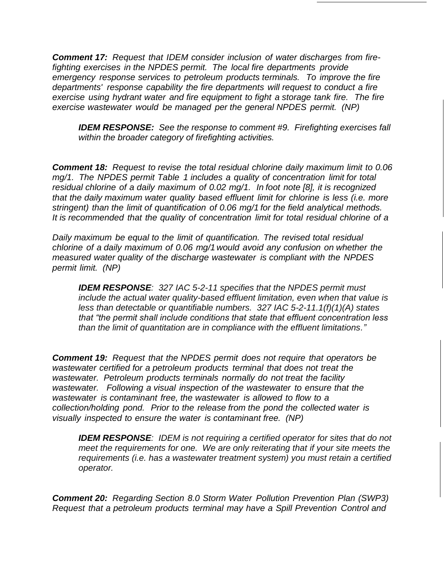*Comment 17: Request that IDEM consider inclusion of water discharges from firefighting exercises in the NPDES permit. The local fire departments provide emergency response services to petroleum products terminals. To improve the fire departments' response capability the fire departments will request to conduct a fire exercise using hydrant water and fire equipment to fight a storage tank fire. The fire exercise wastewater would be managed per the general NPDES permit. (NP)*

*IDEM RESPONSE: See the response to comment #9. Firefighting exercises fall within the broader category of firefighting activities.*

*Comment 18: Request to revise the total residual chlorine daily maximum limit to 0.06 mg/1. The NPDES permit Table 1 includes a quality of concentration limit for total residual chlorine of a daily maximum of 0.02 mg/1. In foot note [8], it is recognized that the daily maximum water quality based effluent limit for chlorine is less (i.e. more stringent) than the limit of quantification of 0.06 mg/1 for the field analytical methods. It is recommended that the quality of concentration limit for total residual chlorine of a*

*Daily maximum be equal to the limit of quantification. The revised total residual chlorine of a daily maximum of 0.06 mg/1 would avoid any confusion on whether the measured water quality of the discharge wastewater is compliant with the NPDES permit limit. (NP)*

*IDEM RESPONSE: 327 IAC 5-2-11 specifies that the NPDES permit must include the actual water quality-based effluent limitation, even when that value is less than detectable or quantifiable numbers. 327 IAC 5-2-11.1(f)(1)(A) states that "the permit shall include conditions that state that effluent concentration less than the limit of quantitation are in compliance with the effluent limitations."* 

*Comment 19: Request that the NPDES permit does not require that operators be wastewater certified for a petroleum products terminal that does not treat the wastewater. Petroleum products terminals normally do not treat the facility wastewater. Following a visual inspection of the wastewater to ensure that the wastewater is contaminant free, the wastewater is allowed to flow to a collection/holding pond. Prior to the release from the pond the collected water is visually inspected to ensure the water is contaminant free. (NP)*

*IDEM RESPONSE: IDEM is not requiring a certified operator for sites that do not meet the requirements for one. We are only reiterating that if your site meets the requirements (i.e. has a wastewater treatment system) you must retain a certified operator.* 

*Comment 20: Regarding Section 8.0 Storm Water Pollution Prevention Plan (SWP3) Request that a petroleum products terminal may have a Spill Prevention Control and*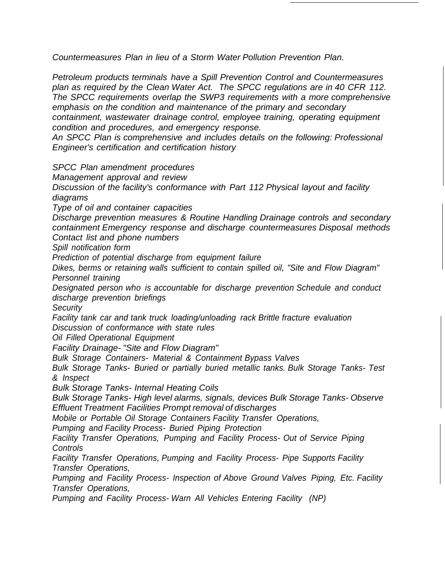*Countermeasures Plan in lieu of a Storm Water Pollution Prevention Plan.*

*Petroleum products terminals have a Spill Prevention Control and Countermeasures plan as required by the Clean Water Act. The SPCC regulations are in 40 CFR 112. The SPCC requirements overlap the SWP3 requirements with a more comprehensive emphasis on the condition and maintenance of the primary and secondary containment, wastewater drainage control, employee training, operating equipment condition and procedures, and emergency response.*

*An SPCC Plan is comprehensive and includes details on the following: Professional Engineer's certification and certification history*

*SPCC Plan amendment procedures*

*Management approval and review*

*Discussion of the facility's conformance with Part 112 Physical layout and facility diagrams*

*Type of oil and container capacities*

*Discharge prevention measures & Routine Handling Drainage controls and secondary containment Emergency response and discharge countermeasures Disposal methods Contact list and phone numbers*

*Spill notification form*

*Prediction of potential discharge from equipment failure*

*Dikes, berms or retaining walls sufficient to contain spilled oil, "Site and Flow Diagram" Personnel training*

*Designated person who is accountable for discharge prevention Schedule and conduct discharge prevention briefings*

*Security*

*Facility tank car and tank truck loading/unloading rack Brittle fracture evaluation Discussion of conformance with state rules*

*Oil Filled Operational Equipment*

*Facility Drainage- "Site and Flow Diagram"*

*Bulk Storage Containers- Material & Containment Bypass Valves*

*Bulk Storage Tanks- Buried or partially buried metallic tanks. Bulk Storage Tanks- Test & Inspect*

*Bulk Storage Tanks- Internal Heating Coils*

*Bulk Storage Tanks- High level alarms, signals, devices Bulk Storage Tanks- Observe Effluent Treatment Facilities Prompt removal of discharges*

*Mobile or Portable Oil Storage Containers Facility Transfer Operations,*

*Pumping and Facility Process- Buried Piping Protection*

*Facility Transfer Operations, Pumping and Facility Process- Out of Service Piping Controls*

*Facility Transfer Operations, Pumping and Facility Process- Pipe Supports Facility Transfer Operations,*

*Pumping and Facility Process- Inspection of Above Ground Valves Piping, Etc. Facility Transfer Operations,*

*Pumping and Facility Process- Warn All Vehicles Entering Facility (NP)*